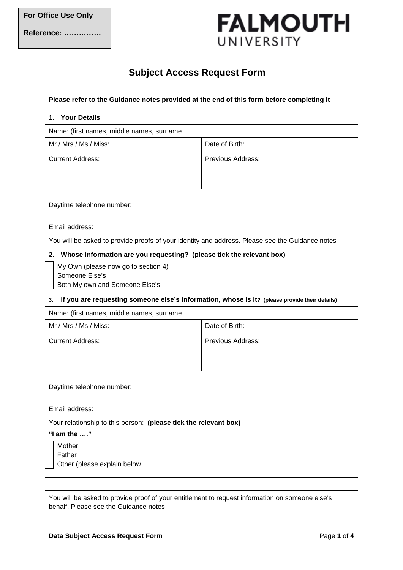# **FALMOUTH** UNIVERSITY

# **Subject Access Request Form**

## **Please refer to the Guidance notes provided at the end of this form before completing it**

#### **1. Your Details**

| Name: (first names, middle names, surname |                   |  |
|-------------------------------------------|-------------------|--|
| Mr / Mrs / Ms / Miss:                     | Date of Birth:    |  |
| <b>Current Address:</b>                   | Previous Address: |  |
|                                           |                   |  |

Daytime telephone number:

#### Email address:

You will be asked to provide proofs of your identity and address. Please see the Guidance notes

#### **2. Whose information are you requesting? (please tick the relevant box)**

- My Own (please now go to section 4)
- Someone Else's

Both My own and Someone Else's

#### **3. If you are requesting someone else's information, whose is it? (please provide their details)**

| Name: (first names, middle names, surname |                   |  |
|-------------------------------------------|-------------------|--|
| Mr / Mrs / Ms / Miss:                     | Date of Birth:    |  |
| Current Address:                          | Previous Address: |  |

Daytime telephone number:

#### Email address:

Your relationship to this person: **(please tick the relevant box)**

### **"I am the …."**

Mother

Father

Other (please explain below

You will be asked to provide proof of your entitlement to request information on someone else's behalf. Please see the Guidance notes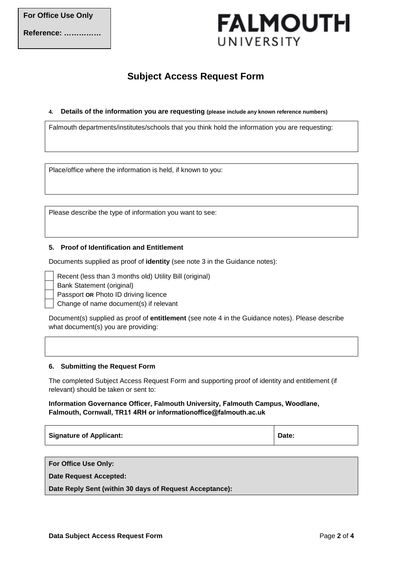**Reference: ……………**

# **FALMOUTH** UNIVERSITY

# **Subject Access Request Form**

### **4. Details of the information you are requesting (please include any known reference numbers)**

Falmouth departments/institutes/schools that you think hold the information you are requesting:

Place/office where the information is held, if known to you:

Please describe the type of information you want to see:

## **5. Proof of Identification and Entitlement**

Documents supplied as proof of **identity** (see note 3 in the Guidance notes):

Recent (less than 3 months old) Utility Bill (original)

Bank Statement (original)

Passport **OR** Photo ID driving licence

Change of name document(s) if relevant

Document(s) supplied as proof of **entitlement** (see note 4 in the Guidance notes). Please describe what document(s) you are providing:

#### **6. Submitting the Request Form**

The completed Subject Access Request Form and supporting proof of identity and entitlement (if relevant) should be taken or sent to:

**Information Governance Officer, Falmouth University, Falmouth Campus, Woodlane, Falmouth, Cornwall, TR11 4RH or [informationoffice@falmouth.ac.uk](mailto:informationoffice@falmouth.ac.uk)**

| <b>Signature of Applicant:</b> | Date: |
|--------------------------------|-------|
|--------------------------------|-------|

**For Office Use Only:**

**Date Request Accepted:**

**Date Reply Sent (within 30 days of Request Acceptance):**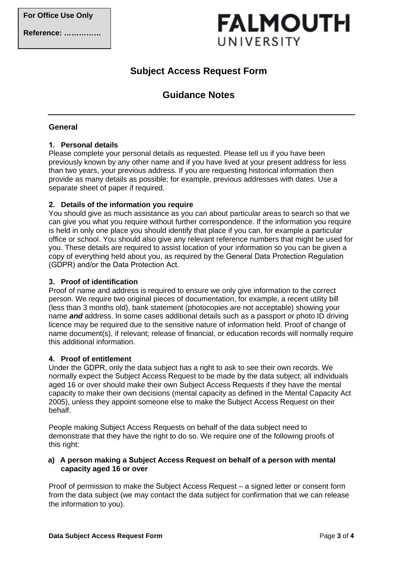# **FALMOUTH** UNIVERSITY

# **Subject Access Request Form**

# **Guidance Notes**

# **General**

# **1. Personal details**

Please complete your personal details as requested. Please tell us if you have been previously known by any other name and if you have lived at your present address for less than two years, your previous address. If you are requesting historical information then provide as many details as possible; for example, previous addresses with dates. Use a separate sheet of paper if required.

## **2. Details of the information you require**

You should give as much assistance as you can about particular areas to search so that we can give you what you require without further correspondence. If the information you require is held in only one place you should identify that place if you can, for example a particular office or school. You should also give any relevant reference numbers that might be used for you. These details are required to assist location of your information so you can be given a copy of everything held about you, as required by the General Data Protection Regulation (GDPR) and/or the Data Protection Act.

# **3. Proof of identification**

Proof of name and address is required to ensure we only give information to the correct person. We require two original pieces of documentation, for example, a recent utility bill (less than 3 months old), bank statement (photocopies are not acceptable) showing your name *and* address. In some cases additional details such as a passport or photo ID driving licence may be required due to the sensitive nature of information held. Proof of change of name document(s), if relevant; release of financial, or education records will normally require this additional information.

## **4. Proof of entitlement**

Under the GDPR, only the data subject has a right to ask to see their own records. We normally expect the Subject Access Request to be made by the data subject; all individuals aged 16 or over should make their own Subject Access Requests if they have the mental capacity to make their own decisions (mental capacity as defined in the Mental Capacity Act 2005), unless they appoint someone else to make the Subject Access Request on their behalf.

People making Subject Access Requests on behalf of the data subject need to demonstrate that they have the right to do so. We require one of the following proofs of this right:

## **a) A person making a Subject Access Request on behalf of a person with mental capacity aged 16 or over**

Proof of permission to make the Subject Access Request – a signed letter or consent form from the data subject (we may contact the data subject for confirmation that we can release the information to you).